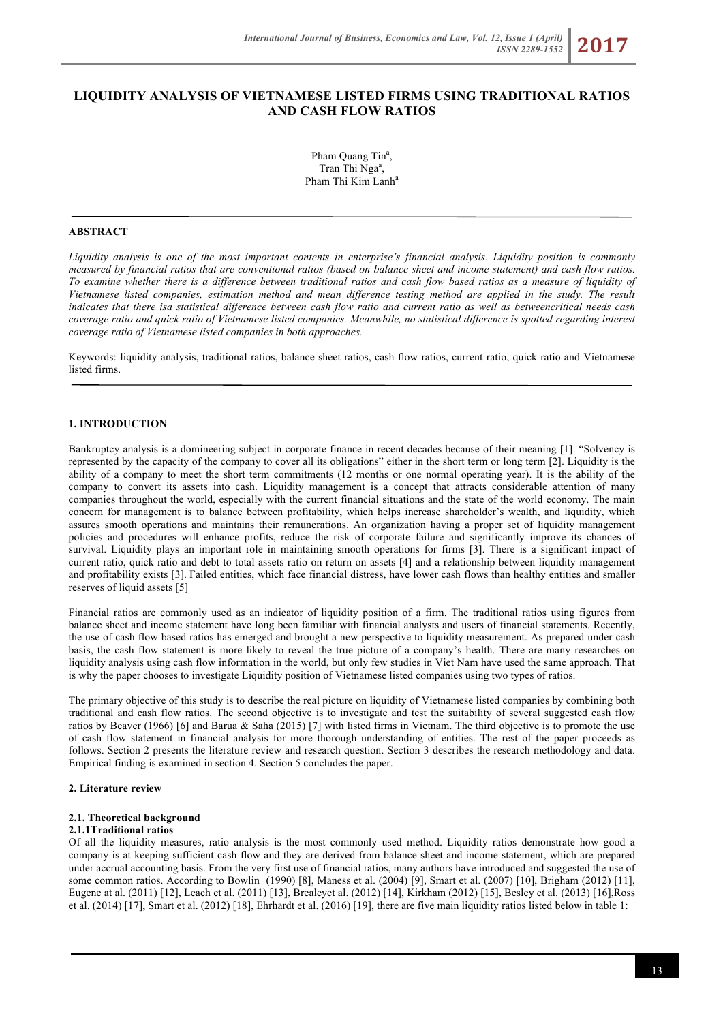# **LIQUIDITY ANALYSIS OF VIETNAMESE LISTED FIRMS USING TRADITIONAL RATIOS AND CASH FLOW RATIOS**

Pham Quang Tin<sup>a</sup>, Tran Thi Nga<sup>a</sup>, Pham Thi Kim Lanh<sup>a</sup>

#### **ABSTRACT**

*Liquidity analysis is one of the most important contents in enterprise's financial analysis. Liquidity position is commonly measured by financial ratios that are conventional ratios (based on balance sheet and income statement) and cash flow ratios. To examine whether there is a difference between traditional ratios and cash flow based ratios as a measure of liquidity of Vietnamese listed companies, estimation method and mean difference testing method are applied in the study. The result indicates that there isa statistical difference between cash flow ratio and current ratio as well as betweencritical needs cash coverage ratio and quick ratio of Vietnamese listed companies. Meanwhile, no statistical difference is spotted regarding interest coverage ratio of Vietnamese listed companies in both approaches.*

Keywords: liquidity analysis, traditional ratios, balance sheet ratios, cash flow ratios, current ratio, quick ratio and Vietnamese listed firms.

## **1. INTRODUCTION**

Bankruptcy analysis is a domineering subject in corporate finance in recent decades because of their meaning [1]. "Solvency is represented by the capacity of the company to cover all its obligations" either in the short term or long term [2]. Liquidity is the ability of a company to meet the short term commitments (12 months or one normal operating year). It is the ability of the company to convert its assets into cash. Liquidity management is a concept that attracts considerable attention of many companies throughout the world, especially with the current financial situations and the state of the world economy. The main concern for management is to balance between profitability, which helps increase shareholder's wealth, and liquidity, which assures smooth operations and maintains their remunerations. An organization having a proper set of liquidity management policies and procedures will enhance profits, reduce the risk of corporate failure and significantly improve its chances of survival. Liquidity plays an important role in maintaining smooth operations for firms [3]. There is a significant impact of current ratio, quick ratio and debt to total assets ratio on return on assets [4] and a relationship between liquidity management and profitability exists [3]. Failed entities, which face financial distress, have lower cash flows than healthy entities and smaller reserves of liquid assets [5]

Financial ratios are commonly used as an indicator of liquidity position of a firm. The traditional ratios using figures from balance sheet and income statement have long been familiar with financial analysts and users of financial statements. Recently, the use of cash flow based ratios has emerged and brought a new perspective to liquidity measurement. As prepared under cash basis, the cash flow statement is more likely to reveal the true picture of a company's health. There are many researches on liquidity analysis using cash flow information in the world, but only few studies in Viet Nam have used the same approach. That is why the paper chooses to investigate Liquidity position of Vietnamese listed companies using two types of ratios.

The primary objective of this study is to describe the real picture on liquidity of Vietnamese listed companies by combining both traditional and cash flow ratios. The second objective is to investigate and test the suitability of several suggested cash flow ratios by Beaver (1966) [6] and Barua & Saha (2015) [7] with listed firms in Vietnam. The third objective is to promote the use of cash flow statement in financial analysis for more thorough understanding of entities. The rest of the paper proceeds as follows. Section 2 presents the literature review and research question. Section 3 describes the research methodology and data. Empirical finding is examined in section 4. Section 5 concludes the paper.

#### **2. Literature review**

#### **2.1. Theoretical background**

#### **2.1.1Traditional ratios**

Of all the liquidity measures, ratio analysis is the most commonly used method. Liquidity ratios demonstrate how good a company is at keeping sufficient cash flow and they are derived from balance sheet and income statement, which are prepared under accrual accounting basis. From the very first use of financial ratios, many authors have introduced and suggested the use of some common ratios. According to Bowlin (1990) [8], Maness et al. (2004) [9], Smart et al. (2007) [10], Brigham (2012) [11], Eugene at al. (2011) [12], Leach et al. (2011) [13], Brealeyet al. (2012) [14], Kirkham (2012) [15], Besley et al. (2013) [16],Ross et al. (2014) [17], Smart et al. (2012) [18], Ehrhardt et al. (2016) [19], there are five main liquidity ratios listed below in table 1: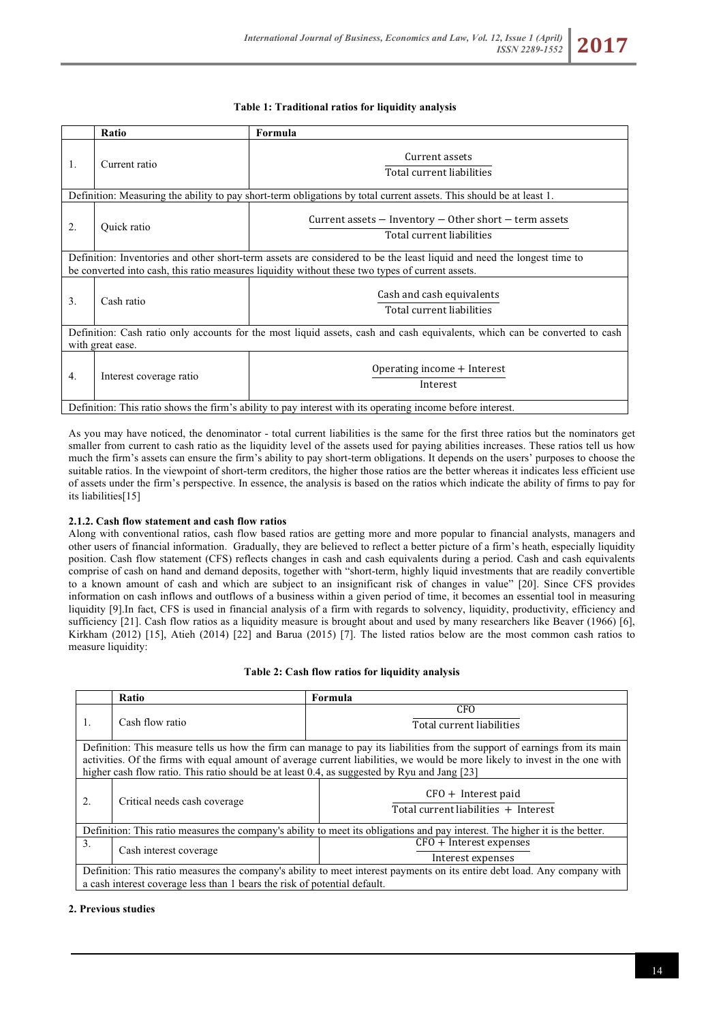### **Table 1: Traditional ratios for liquidity analysis**

|                                                                                                                | Ratio                                                                                                                                          | Formula                                                                                                                |  |  |  |  |
|----------------------------------------------------------------------------------------------------------------|------------------------------------------------------------------------------------------------------------------------------------------------|------------------------------------------------------------------------------------------------------------------------|--|--|--|--|
| 1.                                                                                                             | Current ratio                                                                                                                                  | Current assets<br>Total current liabilities                                                                            |  |  |  |  |
|                                                                                                                |                                                                                                                                                | Definition: Measuring the ability to pay short-term obligations by total current assets. This should be at least 1.    |  |  |  |  |
| Current assets $-$ Inventory $-$ Other short $-$ term assets<br>2.<br>Quick ratio<br>Total current liabilities |                                                                                                                                                |                                                                                                                        |  |  |  |  |
|                                                                                                                |                                                                                                                                                | Definition: Inventories and other short-term assets are considered to be the least liquid and need the longest time to |  |  |  |  |
|                                                                                                                |                                                                                                                                                | be converted into cash, this ratio measures liquidity without these two types of current assets.                       |  |  |  |  |
| 3.                                                                                                             | Cash and cash equivalents<br>Cash ratio<br>Total current liabilities                                                                           |                                                                                                                        |  |  |  |  |
|                                                                                                                | Definition: Cash ratio only accounts for the most liquid assets, cash and cash equivalents, which can be converted to cash<br>with great ease. |                                                                                                                        |  |  |  |  |
| $\overline{4}$ .                                                                                               | Interest coverage ratio                                                                                                                        | Operating income $+$ Interest<br>Interest                                                                              |  |  |  |  |
|                                                                                                                | Definition: This ratio shows the firm's ability to pay interest with its operating income before interest.                                     |                                                                                                                        |  |  |  |  |

As you may have noticed, the denominator - total current liabilities is the same for the first three ratios but the nominators get smaller from current to cash ratio as the liquidity level of the assets used for paying abilities increases. These ratios tell us how much the firm's assets can ensure the firm's ability to pay short-term obligations. It depends on the users' purposes to choose the suitable ratios. In the viewpoint of short-term creditors, the higher those ratios are the better whereas it indicates less efficient use of assets under the firm's perspective. In essence, the analysis is based on the ratios which indicate the ability of firms to pay for its liabilities[15]

# **2.1.2. Cash flow statement and cash flow ratios**

Along with conventional ratios, cash flow based ratios are getting more and more popular to financial analysts, managers and other users of financial information. Gradually, they are believed to reflect a better picture of a firm's heath, especially liquidity position. Cash flow statement (CFS) reflects changes in cash and cash equivalents during a period. Cash and cash equivalents comprise of cash on hand and demand deposits, together with "short-term, highly liquid investments that are readily convertible to a known amount of cash and which are subject to an insignificant risk of changes in value" [20]. Since CFS provides information on cash inflows and outflows of a business within a given period of time, it becomes an essential tool in measuring liquidity [9].In fact, CFS is used in financial analysis of a firm with regards to solvency, liquidity, productivity, efficiency and sufficiency [21]. Cash flow ratios as a liquidity measure is brought about and used by many researchers like Beaver (1966) [6], Kirkham (2012) [15], Atieh (2014) [22] and Barua (2015) [7]. The listed ratios below are the most common cash ratios to measure liquidity:

### **Table 2: Cash flow ratios for liquidity analysis**

|                                                                                                                                                                                                                                                                                                                                                             | Ratio                                                                                                                                                                                                  | Formula                                                                                                                      |  |  |  |
|-------------------------------------------------------------------------------------------------------------------------------------------------------------------------------------------------------------------------------------------------------------------------------------------------------------------------------------------------------------|--------------------------------------------------------------------------------------------------------------------------------------------------------------------------------------------------------|------------------------------------------------------------------------------------------------------------------------------|--|--|--|
| 1.                                                                                                                                                                                                                                                                                                                                                          | Cash flow ratio                                                                                                                                                                                        | <b>CFO</b><br>Total current liabilities                                                                                      |  |  |  |
| Definition: This measure tells us how the firm can manage to pay its liabilities from the support of earnings from its main<br>activities. Of the firms with equal amount of average current liabilities, we would be more likely to invest in the one with<br>higher cash flow ratio. This ratio should be at least 0.4, as suggested by Ryu and Jang [23] |                                                                                                                                                                                                        |                                                                                                                              |  |  |  |
| 2.                                                                                                                                                                                                                                                                                                                                                          | Critical needs cash coverage                                                                                                                                                                           | $CFO + Interest$ paid<br>Total current liabilities + Interest                                                                |  |  |  |
|                                                                                                                                                                                                                                                                                                                                                             |                                                                                                                                                                                                        | Definition: This ratio measures the company's ability to meet its obligations and pay interest. The higher it is the better. |  |  |  |
| 3.                                                                                                                                                                                                                                                                                                                                                          | Cash interest coverage                                                                                                                                                                                 | $CFO + Interest$ expenses<br>Interest expenses                                                                               |  |  |  |
|                                                                                                                                                                                                                                                                                                                                                             | Definition: This ratio measures the company's ability to meet interest payments on its entire debt load. Any company with<br>a cash interest coverage less than 1 bears the risk of potential default. |                                                                                                                              |  |  |  |

### **2. Previous studies**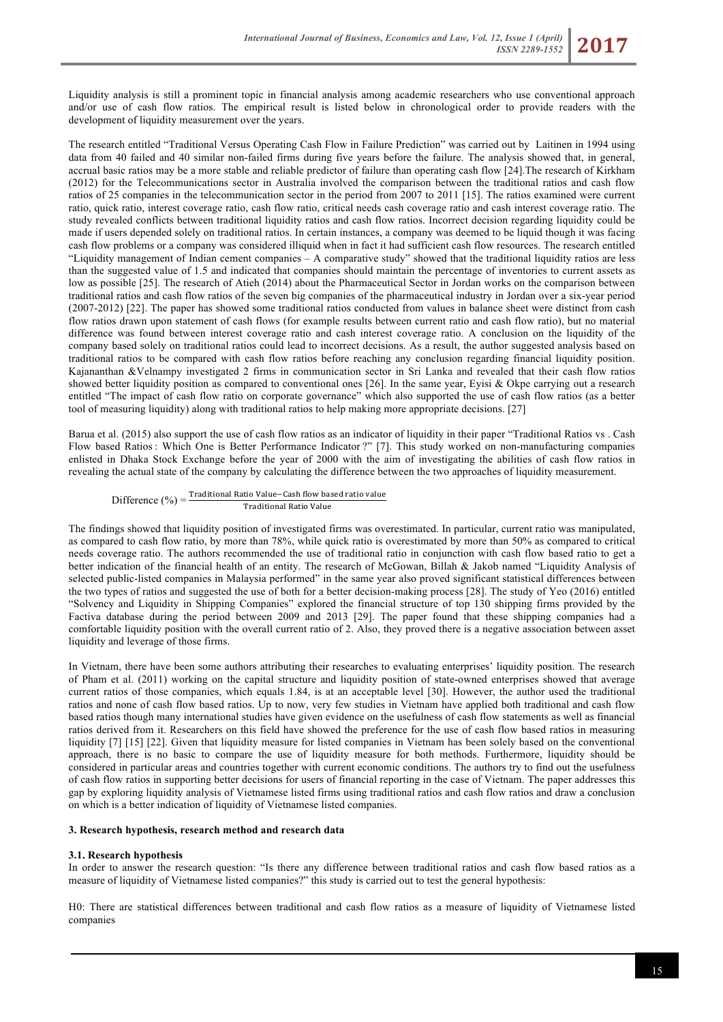Liquidity analysis is still a prominent topic in financial analysis among academic researchers who use conventional approach and/or use of cash flow ratios. The empirical result is listed below in chronological order to provide readers with the development of liquidity measurement over the years.

The research entitled "Traditional Versus Operating Cash Flow in Failure Prediction" was carried out by Laitinen in 1994 using data from 40 failed and 40 similar non-failed firms during five years before the failure. The analysis showed that, in general, accrual basic ratios may be a more stable and reliable predictor of failure than operating cash flow [24].The research of Kirkham (2012) for the Telecommunications sector in Australia involved the comparison between the traditional ratios and cash flow ratios of 25 companies in the telecommunication sector in the period from 2007 to 2011 [15]. The ratios examined were current ratio, quick ratio, interest coverage ratio, cash flow ratio, critical needs cash coverage ratio and cash interest coverage ratio. The study revealed conflicts between traditional liquidity ratios and cash flow ratios. Incorrect decision regarding liquidity could be made if users depended solely on traditional ratios. In certain instances, a company was deemed to be liquid though it was facing cash flow problems or a company was considered illiquid when in fact it had sufficient cash flow resources. The research entitled "Liquidity management of Indian cement companies – A comparative study" showed that the traditional liquidity ratios are less than the suggested value of 1.5 and indicated that companies should maintain the percentage of inventories to current assets as low as possible [25]. The research of Atieh (2014) about the Pharmaceutical Sector in Jordan works on the comparison between traditional ratios and cash flow ratios of the seven big companies of the pharmaceutical industry in Jordan over a six-year period (2007-2012) [22]. The paper has showed some traditional ratios conducted from values in balance sheet were distinct from cash flow ratios drawn upon statement of cash flows (for example results between current ratio and cash flow ratio), but no material difference was found between interest coverage ratio and cash interest coverage ratio. A conclusion on the liquidity of the company based solely on traditional ratios could lead to incorrect decisions. As a result, the author suggested analysis based on traditional ratios to be compared with cash flow ratios before reaching any conclusion regarding financial liquidity position. Kajananthan &Velnampy investigated 2 firms in communication sector in Sri Lanka and revealed that their cash flow ratios showed better liquidity position as compared to conventional ones [26]. In the same year, Eyisi & Okpe carrying out a research entitled "The impact of cash flow ratio on corporate governance" which also supported the use of cash flow ratios (as a better tool of measuring liquidity) along with traditional ratios to help making more appropriate decisions. [27]

Barua et al. (2015) also support the use of cash flow ratios as an indicator of liquidity in their paper "Traditional Ratios vs . Cash Flow based Ratios : Which One is Better Performance Indicator ?" [7]. This study worked on non-manufacturing companies enlisted in Dhaka Stock Exchange before the year of 2000 with the aim of investigating the abilities of cash flow ratios in revealing the actual state of the company by calculating the difference between the two approaches of liquidity measurement.

 $\text{Difference } (\%) = \frac{\text{Traditional Ratio Value}-\text{Cash flow based ratio value}}{}$ Traditional Ratio Value

The findings showed that liquidity position of investigated firms was overestimated. In particular, current ratio was manipulated, as compared to cash flow ratio, by more than 78%, while quick ratio is overestimated by more than 50% as compared to critical needs coverage ratio. The authors recommended the use of traditional ratio in conjunction with cash flow based ratio to get a better indication of the financial health of an entity. The research of McGowan, Billah & Jakob named "Liquidity Analysis of selected public-listed companies in Malaysia performed" in the same year also proved significant statistical differences between the two types of ratios and suggested the use of both for a better decision-making process [28]. The study of Yeo (2016) entitled "Solvency and Liquidity in Shipping Companies" explored the financial structure of top 130 shipping firms provided by the Factiva database during the period between 2009 and 2013 [29]. The paper found that these shipping companies had a comfortable liquidity position with the overall current ratio of 2. Also, they proved there is a negative association between asset liquidity and leverage of those firms.

In Vietnam, there have been some authors attributing their researches to evaluating enterprises' liquidity position. The research of Pham et al. (2011) working on the capital structure and liquidity position of state-owned enterprises showed that average current ratios of those companies, which equals 1.84, is at an acceptable level [30]. However, the author used the traditional ratios and none of cash flow based ratios. Up to now, very few studies in Vietnam have applied both traditional and cash flow based ratios though many international studies have given evidence on the usefulness of cash flow statements as well as financial ratios derived from it. Researchers on this field have showed the preference for the use of cash flow based ratios in measuring liquidity [7] [15] [22]. Given that liquidity measure for listed companies in Vietnam has been solely based on the conventional approach, there is no basic to compare the use of liquidity measure for both methods. Furthermore, liquidity should be considered in particular areas and countries together with current economic conditions. The authors try to find out the usefulness of cash flow ratios in supporting better decisions for users of financial reporting in the case of Vietnam. The paper addresses this gap by exploring liquidity analysis of Vietnamese listed firms using traditional ratios and cash flow ratios and draw a conclusion on which is a better indication of liquidity of Vietnamese listed companies.

### **3. Research hypothesis, research method and research data**

### **3.1. Research hypothesis**

In order to answer the research question: "Is there any difference between traditional ratios and cash flow based ratios as a measure of liquidity of Vietnamese listed companies?" this study is carried out to test the general hypothesis:

H0: There are statistical differences between traditional and cash flow ratios as a measure of liquidity of Vietnamese listed companies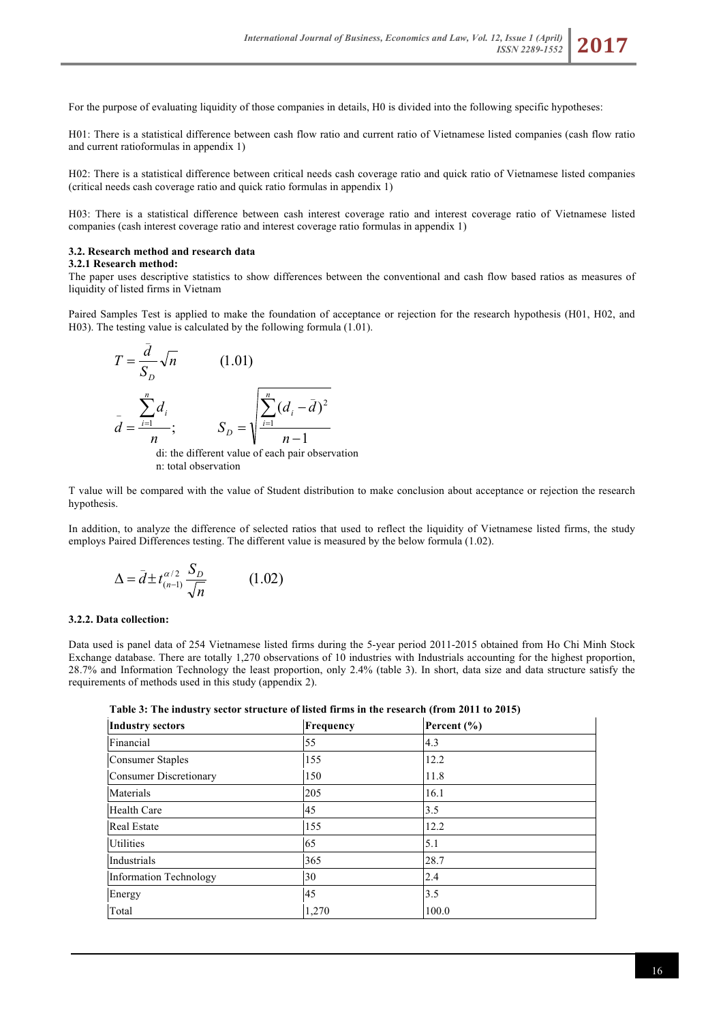For the purpose of evaluating liquidity of those companies in details, H0 is divided into the following specific hypotheses:

H01: There is a statistical difference between cash flow ratio and current ratio of Vietnamese listed companies (cash flow ratio and current ratioformulas in appendix 1)

H02: There is a statistical difference between critical needs cash coverage ratio and quick ratio of Vietnamese listed companies (critical needs cash coverage ratio and quick ratio formulas in appendix 1)

H03: There is a statistical difference between cash interest coverage ratio and interest coverage ratio of Vietnamese listed companies (cash interest coverage ratio and interest coverage ratio formulas in appendix 1)

#### **3.2. Research method and research data**

 $\mathcal{L}(\mathcal{L})$ 

#### **3.2.1 Research method:**

The paper uses descriptive statistics to show differences between the conventional and cash flow based ratios as measures of liquidity of listed firms in Vietnam

Paired Samples Test is applied to make the foundation of acceptance or rejection for the research hypothesis (H01, H02, and H03). The testing value is calculated by the following formula (1.01).

$$
T = \frac{d}{S_D} \sqrt{n}
$$
 (1.01)  

$$
\bar{d} = \frac{\sum_{i=1}^{n} d_i}{n};
$$
 
$$
S_D = \sqrt{\frac{\sum_{i=1}^{n} (d_i - \bar{d})^2}{n-1}}
$$

di: the different value of each pair observation n: total observation

T value will be compared with the value of Student distribution to make conclusion about acceptance or rejection the research hypothesis.

In addition, to analyze the difference of selected ratios that used to reflect the liquidity of Vietnamese listed firms, the study employs Paired Differences testing. The different value is measured by the below formula (1.02).

$$
\Delta = \bar{d} \pm t_{(n-1)}^{\alpha/2} \frac{S_D}{\sqrt{n}} \tag{1.02}
$$

#### **3.2.2. Data collection:**

Data used is panel data of 254 Vietnamese listed firms during the 5-year period 2011-2015 obtained from Ho Chi Minh Stock Exchange database. There are totally 1,270 observations of 10 industries with Industrials accounting for the highest proportion, 28.7% and Information Technology the least proportion, only 2.4% (table 3). In short, data size and data structure satisfy the requirements of methods used in this study (appendix 2).

**Table 3: The industry sector structure of listed firms in the research (from 2011 to 2015)**

| <b>Industry sectors</b> | Frequency | Percent $(\% )$ |  |
|-------------------------|-----------|-----------------|--|
| Financial               | 55        | 4.3             |  |
| <b>Consumer Staples</b> | 155       | 12.2            |  |
| Consumer Discretionary  | 150       | 11.8            |  |
| Materials               | 205       | 16.1            |  |
| <b>Health Care</b>      | 45        | 3.5             |  |
| <b>Real Estate</b>      | 155       | 12.2            |  |
| <b>Utilities</b>        | 65        | 5.1             |  |
| Industrials             | 365       | 28.7            |  |
| Information Technology  | 30        | 2.4             |  |
| Energy                  | 45        | 3.5             |  |
| Total                   | 1,270     | 100.0           |  |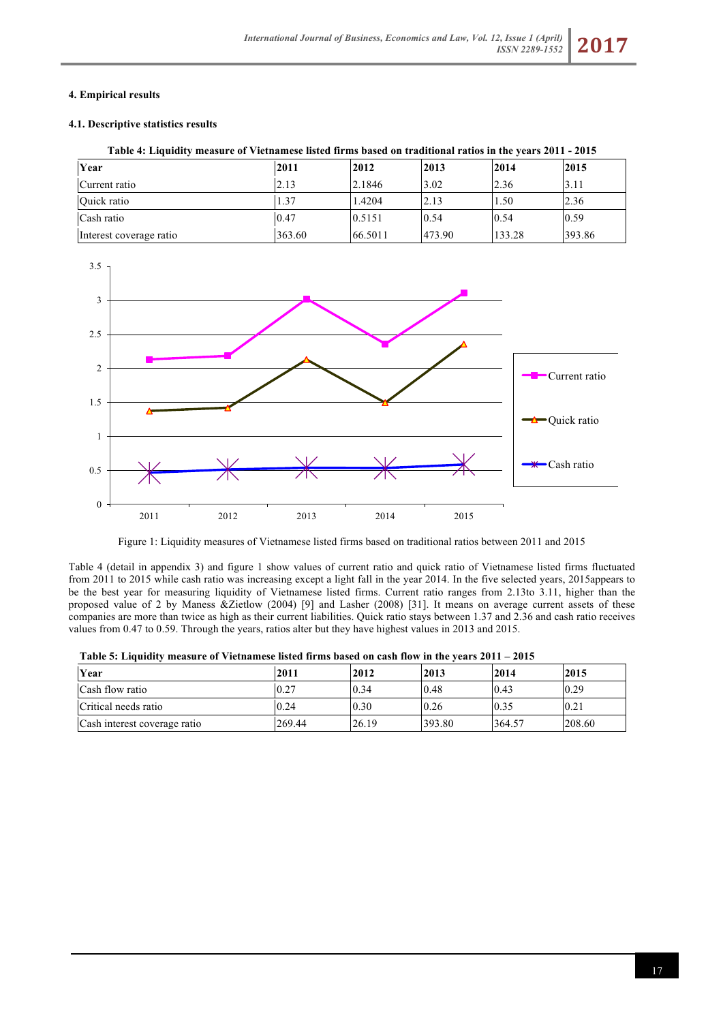# **4. Empirical results**

# **4.1. Descriptive statistics results**

| Table 4: Liquidity measure of Vietnamese listed firms based on traditional ratios in the years 2011 - 2015 |  |  |  |
|------------------------------------------------------------------------------------------------------------|--|--|--|
|                                                                                                            |  |  |  |

| Year                    | 2011   | 2012    | 2013   | 2014   | 2015   |
|-------------------------|--------|---------|--------|--------|--------|
| Current ratio           | 2.13   | 2.1846  | 3.02   | 2.36   | 3.11   |
| Quick ratio             | 1.37   | 1.4204  | 2.13   | 1.50   | 2.36   |
| Cash ratio              | 0.47   | 0.5151  | 0.54   | 0.54   | 0.59   |
| Interest coverage ratio | 363.60 | 66.5011 | 473.90 | 133.28 | 393.86 |



Figure 1: Liquidity measures of Vietnamese listed firms based on traditional ratios between 2011 and 2015

Table 4 (detail in appendix 3) and figure 1 show values of current ratio and quick ratio of Vietnamese listed firms fluctuated from 2011 to 2015 while cash ratio was increasing except a light fall in the year 2014. In the five selected years, 2015appears to be the best year for measuring liquidity of Vietnamese listed firms. Current ratio ranges from 2.13to 3.11, higher than the proposed value of 2 by Maness &Zietlow (2004) [9] and Lasher (2008) [31]. It means on average current assets of these companies are more than twice as high as their current liabilities. Quick ratio stays between 1.37 and 2.36 and cash ratio receives values from 0.47 to 0.59. Through the years, ratios alter but they have highest values in 2013 and 2015.

| Year                         | 2011   | 2012  | 2013   | 2014   | 2015   |
|------------------------------|--------|-------|--------|--------|--------|
|                              |        |       |        |        |        |
| Cash flow ratio              | 10.27  | 0.34  | 0.48   | 0.43   | 0.29   |
| Critical needs ratio         | 0.24   | 0.30  | 0.26   | 0.35   | 0.21   |
| Cash interest coverage ratio | 269.44 | 26.19 | 393.80 | 364.57 | 208.60 |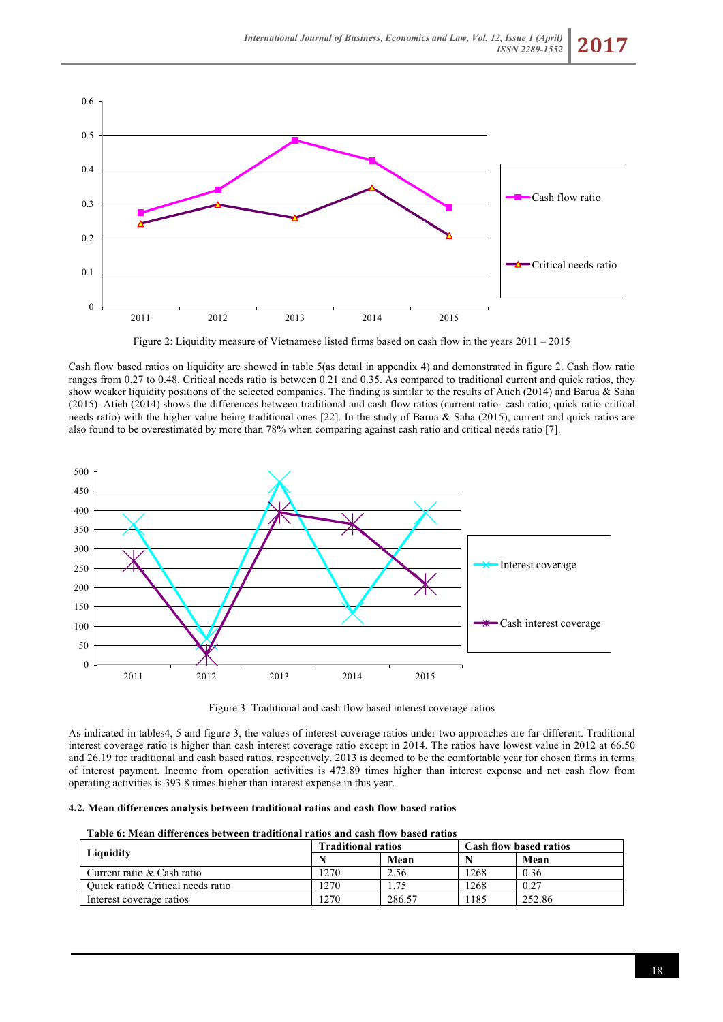

Figure 2: Liquidity measure of Vietnamese listed firms based on cash flow in the years 2011 – 2015

Cash flow based ratios on liquidity are showed in table 5(as detail in appendix 4) and demonstrated in figure 2. Cash flow ratio ranges from 0.27 to 0.48. Critical needs ratio is between 0.21 and 0.35. As compared to traditional current and quick ratios, they show weaker liquidity positions of the selected companies. The finding is similar to the results of Atieh (2014) and Barua & Saha (2015). Atieh (2014) shows the differences between traditional and cash flow ratios (current ratio- cash ratio; quick ratio-critical needs ratio) with the higher value being traditional ones [22]. In the study of Barua & Saha (2015), current and quick ratios are also found to be overestimated by more than 78% when comparing against cash ratio and critical needs ratio [7].



Figure 3: Traditional and cash flow based interest coverage ratios

As indicated in tables4, 5 and figure 3, the values of interest coverage ratios under two approaches are far different. Traditional interest coverage ratio is higher than cash interest coverage ratio except in 2014. The ratios have lowest value in 2012 at 66.50 and 26.19 for traditional and cash based ratios, respectively. 2013 is deemed to be the comfortable year for chosen firms in terms of interest payment. Income from operation activities is 473.89 times higher than interest expense and net cash flow from operating activities is 393.8 times higher than interest expense in this year.

#### **4.2. Mean differences analysis between traditional ratios and cash flow based ratios**

|                                    | <b>Traditional ratios</b> |        | <b>Cash flow based ratios</b> |        |  |
|------------------------------------|---------------------------|--------|-------------------------------|--------|--|
| Liquidity                          |                           | Mean   |                               | Mean   |  |
| Current ratio & Cash ratio         | 1270                      | 2.56   | 1268                          | 0.36   |  |
| Quick ratio & Critical needs ratio | 1270                      | 1.75   | 1268                          | 0.27   |  |
| Interest coverage ratios           | 270                       | 286.57 | 1185                          | 252.86 |  |

#### **Table 6: Mean differences between traditional ratios and cash flow based ratios**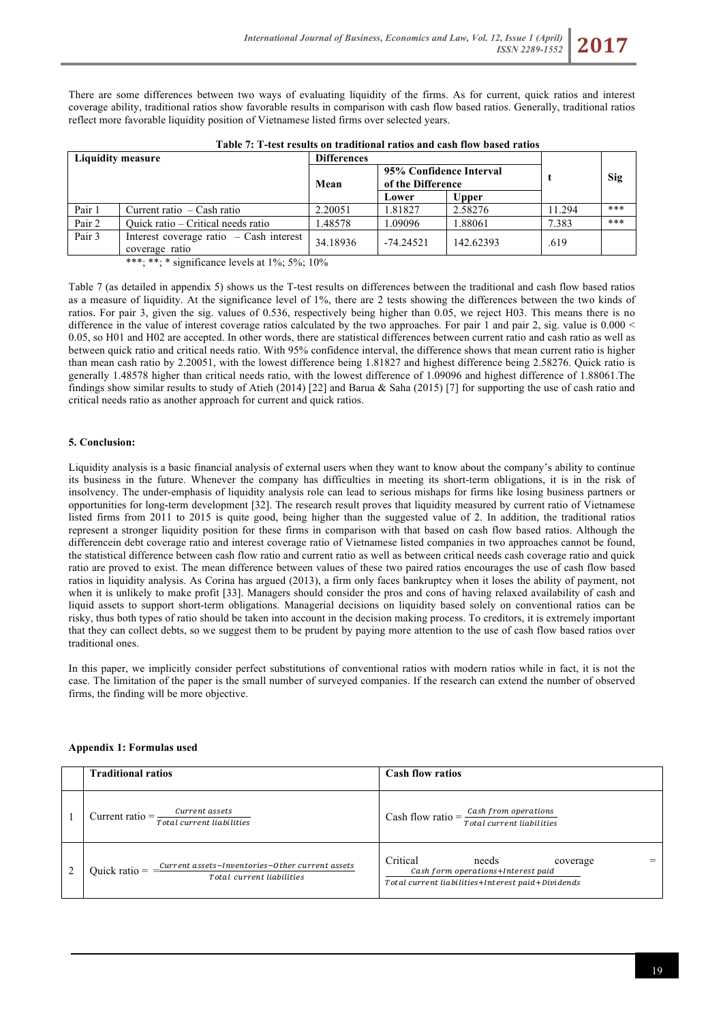There are some differences between two ways of evaluating liquidity of the firms. As for current, quick ratios and interest coverage ability, traditional ratios show favorable results in comparison with cash flow based ratios. Generally, traditional ratios reflect more favorable liquidity position of Vietnamese listed firms over selected years.

| <b>Liquidity measure</b> |                                                             | <b>Differences</b> |                                              |              |        |     |
|--------------------------|-------------------------------------------------------------|--------------------|----------------------------------------------|--------------|--------|-----|
|                          |                                                             | Mean               | 95% Confidence Interval<br>of the Difference |              |        | Sig |
|                          |                                                             |                    | Lower                                        | <b>Upper</b> |        |     |
| Pair 1                   | Current ratio $-$ Cash ratio                                | 2.20051            | 1.81827                                      | 2.58276      | 11.294 | *** |
| Pair 2                   | Ouick ratio – Critical needs ratio                          | 1.48578            | 1.09096                                      | 1.88061      | 7.383  | *** |
| Pair 3                   | Interest coverage ratio $-$ Cash interest<br>coverage ratio | 34.18936           | $-74.24521$                                  | 142.62393    | .619   |     |

**Table 7: T-test results on traditional ratios and cash flow based ratios**

\*\*\*; \*\*; \* significance levels at  $1\%$ ;  $5\%$ ;  $10\%$ 

Table 7 (as detailed in appendix 5) shows us the T-test results on differences between the traditional and cash flow based ratios as a measure of liquidity. At the significance level of 1%, there are 2 tests showing the differences between the two kinds of ratios. For pair 3, given the sig. values of 0.536, respectively being higher than 0.05, we reject H03. This means there is no difference in the value of interest coverage ratios calculated by the two approaches. For pair 1 and pair 2, sig. value is 0.000 < 0.05, so H01 and H02 are accepted. In other words, there are statistical differences between current ratio and cash ratio as well as between quick ratio and critical needs ratio. With 95% confidence interval, the difference shows that mean current ratio is higher than mean cash ratio by 2.20051, with the lowest difference being 1.81827 and highest difference being 2.58276. Quick ratio is generally 1.48578 higher than critical needs ratio, with the lowest difference of 1.09096 and highest difference of 1.88061.The findings show similar results to study of Atieh (2014) [22] and Barua & Saha (2015) [7] for supporting the use of cash ratio and critical needs ratio as another approach for current and quick ratios.

### **5. Conclusion:**

Liquidity analysis is a basic financial analysis of external users when they want to know about the company's ability to continue its business in the future. Whenever the company has difficulties in meeting its short-term obligations, it is in the risk of insolvency. The under-emphasis of liquidity analysis role can lead to serious mishaps for firms like losing business partners or opportunities for long-term development [32]. The research result proves that liquidity measured by current ratio of Vietnamese listed firms from 2011 to 2015 is quite good, being higher than the suggested value of 2. In addition, the traditional ratios represent a stronger liquidity position for these firms in comparison with that based on cash flow based ratios. Although the differencein debt coverage ratio and interest coverage ratio of Vietnamese listed companies in two approaches cannot be found, the statistical difference between cash flow ratio and current ratio as well as between critical needs cash coverage ratio and quick ratio are proved to exist. The mean difference between values of these two paired ratios encourages the use of cash flow based ratios in liquidity analysis. As Corina has argued (2013), a firm only faces bankruptcy when it loses the ability of payment, not when it is unlikely to make profit [33]. Managers should consider the pros and cons of having relaxed availability of cash and liquid assets to support short-term obligations. Managerial decisions on liquidity based solely on conventional ratios can be risky, thus both types of ratio should be taken into account in the decision making process. To creditors, it is extremely important that they can collect debts, so we suggest them to be prudent by paying more attention to the use of cash flow based ratios over traditional ones.

In this paper, we implicitly consider perfect substitutions of conventional ratios with modern ratios while in fact, it is not the case. The limitation of the paper is the small number of surveyed companies. If the research can extend the number of observed firms, the finding will be more objective.

### **Appendix 1: Formulas used**

| <b>Traditional ratios</b>                                                                         | <b>Cash flow ratios</b>                                                                                                  |
|---------------------------------------------------------------------------------------------------|--------------------------------------------------------------------------------------------------------------------------|
| Current assets<br>Current ratio $=$<br>Total current liabilities                                  | Cash flow ratio $=\frac{Cash from operations}{Total current liabilities}$                                                |
| Current assets-Inventories-Other current assets<br>Quick ratio $=$ =<br>Total current liabilities | Critical<br>needs<br>coverage<br>Cash form operations+Interest paid<br>Total current liabilities+Interest paid+Dividends |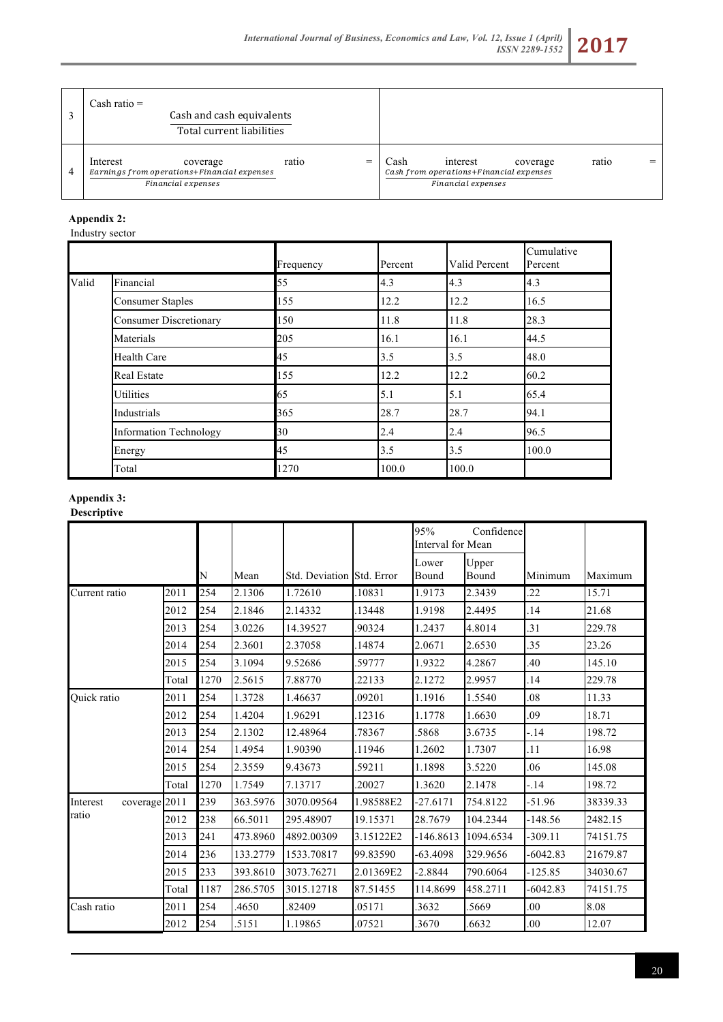

|                | Cash ratio $=$<br>Cash and cash equivalents<br>Total current liabilities                  |            |                                                                                               |       |  |
|----------------|-------------------------------------------------------------------------------------------|------------|-----------------------------------------------------------------------------------------------|-------|--|
| $\overline{4}$ | Interest<br>coverage<br>Earnings from operations+Financial expenses<br>Financial expenses | ratio<br>= | interest<br>Cash<br>coverage<br>Cash from operations+Financial expenses<br>Financial expenses | ratio |  |

# **Appendix 2:**

Industry sector

|       |                               | Frequency | Percent | Valid Percent | Cumulative<br>Percent |
|-------|-------------------------------|-----------|---------|---------------|-----------------------|
| Valid | Financial                     | 55        | 4.3     | 4.3           | 4.3                   |
|       | <b>Consumer Staples</b>       | 155       | 12.2    | 12.2          | 16.5                  |
|       | <b>Consumer Discretionary</b> | 150       | 11.8    | 11.8          | 28.3                  |
|       | Materials                     | 205       | 16.1    | 16.1          | 44.5                  |
|       | <b>Health Care</b>            | 45        | 3.5     | 3.5           | 48.0                  |
|       | <b>Real Estate</b>            | 155       | 12.2    | 12.2          | 60.2                  |
|       | <b>Utilities</b>              | 65        | 5.1     | 5.1           | 65.4                  |
|       | Industrials                   | 365       | 28.7    | 28.7          | 94.1                  |
|       | <b>Information Technology</b> | 30        | 2.4     | 2.4           | 96.5                  |
|       | Energy                        | 45        | 3.5     | 3.5           | 100.0                 |
|       | Total                         | 1270      | 100.0   | 100.0         |                       |

# **Appendix 3:**

# **Descriptive**

|                           |       |      |          |                           |           | 95%<br>Confidence<br>Interval for Mean |                |            |          |
|---------------------------|-------|------|----------|---------------------------|-----------|----------------------------------------|----------------|------------|----------|
|                           |       | N    | Mean     | Std. Deviation Std. Error |           | Lower<br>Bound                         | Upper<br>Bound | Minimum    | Maximum  |
| Current ratio             | 2011  | 254  | 2.1306   | 1.72610                   | 10831     | 1.9173                                 | 2.3439         | .22        | 15.71    |
|                           | 2012  | 254  | 2.1846   | 2.14332                   | 13448     | 1.9198                                 | 2.4495         | .14        | 21.68    |
|                           | 2013  | 254  | 3.0226   | 14.39527                  | .90324    | 1.2437                                 | 4.8014         | .31        | 229.78   |
|                           | 2014  | 254  | 2.3601   | 2.37058                   | 14874     | 2.0671                                 | 2.6530         | .35        | 23.26    |
|                           | 2015  | 254  | 3.1094   | 9.52686                   | .59777    | 1.9322                                 | 4.2867         | .40        | 145.10   |
|                           | Total | 1270 | 2.5615   | 7.88770                   | .22133    | 2.1272                                 | 2.9957         | .14        | 229.78   |
| <b>Ouick</b> ratio        | 2011  | 254  | 1.3728   | 1.46637                   | .09201    | 1.1916                                 | 1.5540         | .08        | 11.33    |
|                           | 2012  | 254  | 1.4204   | 1.96291                   | 12316     | 1.1778                                 | 1.6630         | .09        | 18.71    |
|                           | 2013  | 254  | 2.1302   | 12.48964                  | .78367    | .5868                                  | 3.6735         | $-14$      | 198.72   |
|                           | 2014  | 254  | 1.4954   | 1.90390                   | 11946     | 1.2602                                 | 1.7307         | .11        | 16.98    |
|                           | 2015  | 254  | 2.3559   | 9.43673                   | 59211     | 1.1898                                 | 3.5220         | .06        | 145.08   |
|                           | Total | 1270 | 1.7549   | 7.13717                   | .20027    | 1.3620                                 | 2.1478         | $-14$      | 198.72   |
| coverage 2011<br>Interest |       | 239  | 363.5976 | 3070.09564                | 1.98588E2 | -27.6171                               | 754.8122       | $-51.96$   | 38339.33 |
| ratio                     | 2012  | 238  | 66.5011  | 295.48907                 | 19.15371  | 28.7679                                | 104.2344       | $-148.56$  | 2482.15  |
|                           | 2013  | 241  | 473.8960 | 4892.00309                | 3.15122E2 | $-146.8613$                            | 1094.6534      | $-309.11$  | 74151.75 |
|                           | 2014  | 236  | 133.2779 | 1533.70817                | 99.83590  | $-63.4098$                             | 329.9656       | $-6042.83$ | 21679.87 |
|                           | 2015  | 233  | 393.8610 | 3073.76271                | 2.01369E2 | $-2.8844$                              | 790.6064       | $-125.85$  | 34030.67 |
|                           | Total | 1187 | 286.5705 | 3015.12718                | 87.51455  | 114.8699                               | 458.2711       | $-6042.83$ | 74151.75 |
| Cash ratio                | 2011  | 254  | .4650    | .82409                    | .05171    | .3632                                  | .5669          | .00        | 8.08     |
|                           | 2012  | 254  | .5151    | 1.19865                   | .07521    | 3670                                   | .6632          | .00        | 12.07    |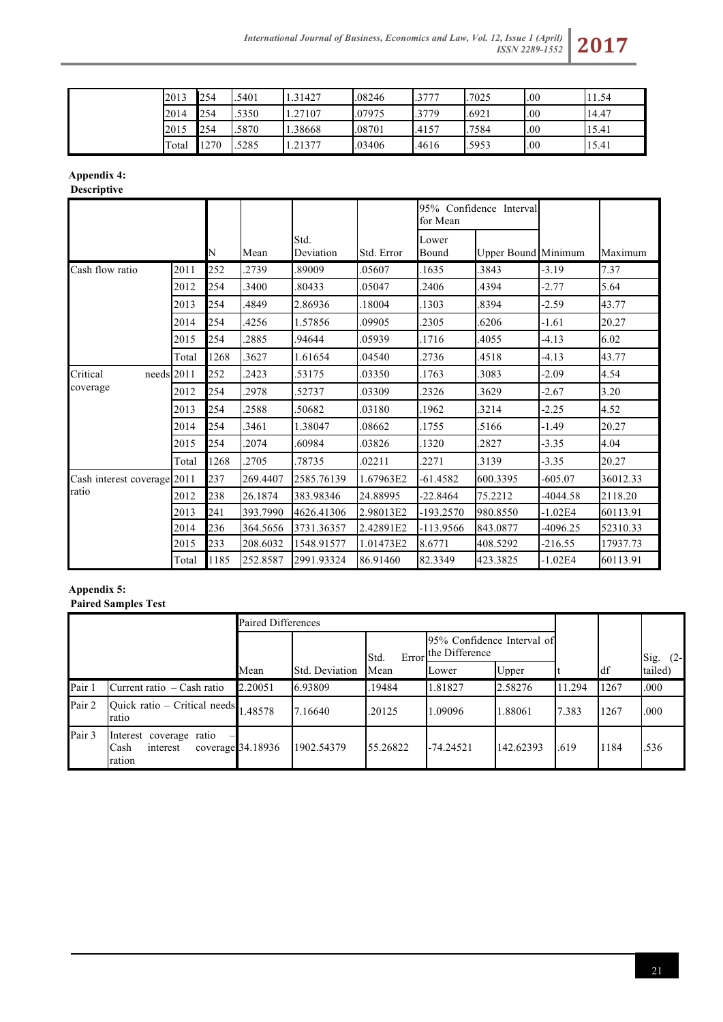

| 2013  | 254  | .5401 | 1.31427 | .08246 | 3777  | .7025 | .00 | 1.54  |
|-------|------|-------|---------|--------|-------|-------|-----|-------|
| 2014  | 254  | .5350 | .27107  | .07975 | 3779  | .6921 | .00 | 14.47 |
| 2015  | 254  | .5870 | 1.38668 | .08701 | .4157 | .7584 | .00 | 15.41 |
| Total | 1270 | .5285 | .21377  | .03406 | .4616 | .5953 | .00 | 15.41 |

# **Appendix 4:**

**Descriptive**

|                             |       |      |          |                   |            | 95% Confidence Interval<br>for Mean |                            |            |          |
|-----------------------------|-------|------|----------|-------------------|------------|-------------------------------------|----------------------------|------------|----------|
|                             |       | N    | Mean     | Std.<br>Deviation | Std. Error | Lower<br>Bound                      | <b>Upper Bound Minimum</b> |            | Maximum  |
| Cash flow ratio             | 2011  | 252  | 2739     | 89009             | .05607     | .1635                               | 3843                       | $-3.19$    | 7.37     |
|                             | 2012  | 254  | 3400     | 80433             | .05047     | .2406                               | 4394                       | $-2.77$    | 5.64     |
|                             | 2013  | 254  | 4849     | 2.86936           | 18004      | .1303                               | .8394                      | $-2.59$    | 43.77    |
|                             | 2014  | 254  | 4256     | 1.57856           | .09905     | .2305                               | 6206                       | $-1.61$    | 20.27    |
|                             | 2015  | 254  | 2885     | 94644             | .05939     | .1716                               | 4055                       | $-4.13$    | 6.02     |
|                             | Total | 1268 | 3627     | 1.61654           | .04540     | .2736                               | 4518                       | $-4.13$    | 43.77    |
| Critical<br>needs 2011      |       | 252  | 2423     | 53175             | .03350     | .1763                               | .3083                      | $-2.09$    | 4.54     |
| coverage                    | 2012  | 254  | 2978     | 52737             | .03309     | .2326                               | 3629                       | $-2.67$    | 3.20     |
|                             | 2013  | 254  | 2588     | 50682             | .03180     | .1962                               | .3214                      | $-2.25$    | 4.52     |
|                             | 2014  | 254  | 3461     | 1.38047           | .08662     | .1755                               | .5166                      | $-1.49$    | 20.27    |
|                             | 2015  | 254  | 2074     | 60984             | 03826      | .1320                               | 2827                       | $-3.35$    | 4.04     |
|                             | Total | 1268 | 2705     | 78735             | .02211     | .2271                               | 3139                       | $-3.35$    | 20.27    |
| Cash interest coverage 2011 |       | 237  | 269.4407 | 2585.76139        | 1.67963E2  | -61.4582                            | 600.3395                   | $-605.07$  | 36012.33 |
| ratio                       | 2012  | 238  | 26.1874  | 383.98346         | 24.88995   | $-22.8464$                          | 75.2212                    | $-4044.58$ | 2118.20  |
|                             | 2013  | 241  | 393.7990 | 4626.41306        | 2.98013E2  | $-193.2570$                         | 980.8550                   | $-1.02E4$  | 60113.91 |
|                             | 2014  | 236  | 364.5656 | 3731.36357        | 2.42891E2  | -113.9566                           | 843.0877                   | -4096.25   | 52310.33 |
|                             | 2015  | 233  | 208.6032 | 1548.91577        | 1.01473E2  | 8.6771                              | 408.5292                   | $-216.55$  | 17937.73 |
|                             | Total | 1185 | 252.8587 | 2991.93324        | 86.91460   | 82.3349                             | 423.3825                   | $-1.02E4$  | 60113.91 |

# **Appendix 5: Paired Samples Test**

|        |                                                       | Paired Differences |                |               |                                              |           |        |      |               |
|--------|-------------------------------------------------------|--------------------|----------------|---------------|----------------------------------------------|-----------|--------|------|---------------|
|        |                                                       |                    |                | Error<br>Std. | 95% Confidence Interval of<br>the Difference |           |        |      | Sig.<br>$(2-$ |
|        |                                                       | Mean               | Std. Deviation | Mean          | Lower                                        | Upper     |        | df   | tailed)       |
| Pair 1 | Current ratio – Cash ratio                            | 2.20051            | 6.93809        | 19484         | 1.81827                                      | 2.58276   | 11.294 | 1267 | .000          |
| Pair 2 | Quick ratio – Critical needs<br>ratio                 | 1.48578            | 7.16640        | .20125        | 1.09096                                      | 1.88061   | 7.383  | 1267 | .000          |
| Pair 3 | Interest coverage ratio<br>Cash<br>interest<br>ration | coverage 34.18936  | 1902.54379     | 55.26822      | $-74.24521$                                  | 142.62393 | .619   | 1184 | .536          |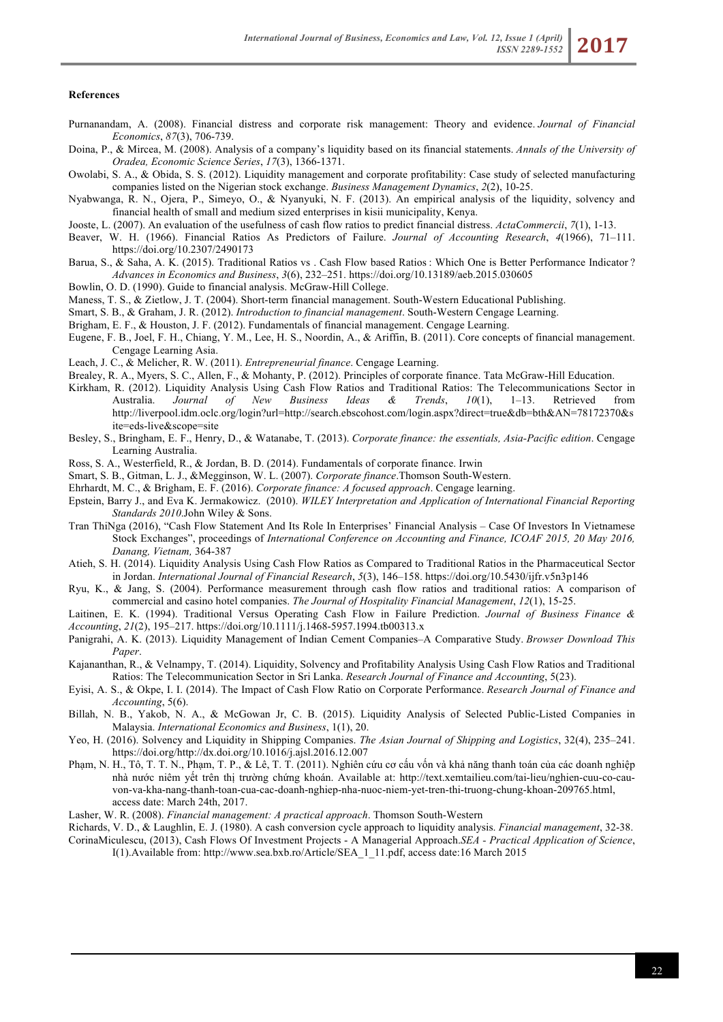#### **References**

- Purnanandam, A. (2008). Financial distress and corporate risk management: Theory and evidence. *Journal of Financial Economics*, *87*(3), 706-739.
- Doina, P., & Mircea, M. (2008). Analysis of a company's liquidity based on its financial statements. *Annals of the University of Oradea, Economic Science Series*, *17*(3), 1366-1371.
- Owolabi, S. A., & Obida, S. S. (2012). Liquidity management and corporate profitability: Case study of selected manufacturing companies listed on the Nigerian stock exchange. *Business Management Dynamics*, *2*(2), 10-25.
- Nyabwanga, R. N., Ojera, P., Simeyo, O., & Nyanyuki, N. F. (2013). An empirical analysis of the liquidity, solvency and financial health of small and medium sized enterprises in kisii municipality, Kenya.
- Jooste, L. (2007). An evaluation of the usefulness of cash flow ratios to predict financial distress. *ActaCommercii*, *7*(1), 1-13.
- Beaver, W. H. (1966). Financial Ratios As Predictors of Failure. *Journal of Accounting Research*, *4*(1966), 71–111. https://doi.org/10.2307/2490173
- Barua, S., & Saha, A. K. (2015). Traditional Ratios vs. Cash Flow based Ratios: Which One is Better Performance Indicator? *Advances in Economics and Business*, *3*(6), 232–251. https://doi.org/10.13189/aeb.2015.030605
- Bowlin, O. D. (1990). Guide to financial analysis. McGraw-Hill College.
- Maness, T. S., & Zietlow, J. T. (2004). Short-term financial management. South-Western Educational Publishing.
- Smart, S. B., & Graham, J. R. (2012). *Introduction to financial management*. South-Western Cengage Learning.
- Brigham, E. F., & Houston, J. F. (2012). Fundamentals of financial management. Cengage Learning.
- Eugene, F. B., Joel, F. H., Chiang, Y. M., Lee, H. S., Noordin, A., & Ariffin, B. (2011). Core concepts of financial management. Cengage Learning Asia.
- Leach, J. C., & Melicher, R. W. (2011). *Entrepreneurial finance*. Cengage Learning.
- Brealey, R. A., Myers, S. C., Allen, F., & Mohanty, P. (2012). Principles of corporate finance. Tata McGraw-Hill Education.
- Kirkham, R. (2012). Liquidity Analysis Using Cash Flow Ratios and Traditional Ratios: The Telecommunications Sector in Australia. *Journal of New Business Ideas & Trends*, *10*(1), 1–13. Retrieved from http://liverpool.idm.oclc.org/login?url=http://search.ebscohost.com/login.aspx?direct=true&db=bth&AN=78172370&s ite=eds-live&scope=site
- Besley, S., Bringham, E. F., Henry, D., & Watanabe, T. (2013). *Corporate finance: the essentials, Asia-Pacific edition*. Cengage Learning Australia.
- Ross, S. A., Westerfield, R., & Jordan, B. D. (2014). Fundamentals of corporate finance. Irwin
- Smart, S. B., Gitman, L. J., &Megginson, W. L. (2007). *Corporate finance*.Thomson South-Western.
- Ehrhardt, M. C., & Brigham, E. F. (2016). *Corporate finance: A focused approach*. Cengage learning.
- Epstein, Barry J., and Eva K. Jermakowicz. (2010). *WILEY Interpretation and Application of International Financial Reporting Standards 2010*.John Wiley & Sons.
- Tran ThiNga (2016), "Cash Flow Statement And Its Role In Enterprises' Financial Analysis Case Of Investors In Vietnamese Stock Exchanges", proceedings of *International Conference on Accounting and Finance, ICOAF 2015, 20 May 2016, Danang, Vietnam,* 364-387
- Atieh, S. H. (2014). Liquidity Analysis Using Cash Flow Ratios as Compared to Traditional Ratios in the Pharmaceutical Sector in Jordan. *International Journal of Financial Research*, *5*(3), 146–158. https://doi.org/10.5430/ijfr.v5n3p146
- Ryu, K., & Jang, S. (2004). Performance measurement through cash flow ratios and traditional ratios: A comparison of commercial and casino hotel companies. *The Journal of Hospitality Financial Management*, *12*(1), 15-25.

Laitinen, E. K. (1994). Traditional Versus Operating Cash Flow in Failure Prediction. *Journal of Business Finance & Accounting*, *21*(2), 195–217. https://doi.org/10.1111/j.1468-5957.1994.tb00313.x

- Panigrahi, A. K. (2013). Liquidity Management of Indian Cement Companies–A Comparative Study. *Browser Download This Paper*.
- Kajananthan, R., & Velnampy, T. (2014). Liquidity, Solvency and Profitability Analysis Using Cash Flow Ratios and Traditional Ratios: The Telecommunication Sector in Sri Lanka. *Research Journal of Finance and Accounting*, 5(23).
- Eyisi, A. S., & Okpe, I. I. (2014). The Impact of Cash Flow Ratio on Corporate Performance. *Research Journal of Finance and Accounting*, 5(6).
- Billah, N. B., Yakob, N. A., & McGowan Jr, C. B. (2015). Liquidity Analysis of Selected Public-Listed Companies in Malaysia. *International Economics and Business*, 1(1), 20.
- Yeo, H. (2016). Solvency and Liquidity in Shipping Companies. *The Asian Journal of Shipping and Logistics*, 32(4), 235–241. https://doi.org/http://dx.doi.org/10.1016/j.ajsl.2016.12.007
- Phạm, N. H., Tô, T. T. N., Phạm, T. P., & Lê, T. T. (2011). Nghiên cứu cơ cấu vốn và khả năng thanh toán của các doanh nghiệp nhà nước niêm yết trên thị trường chứng khoán. Available at: http://text.xemtailieu.com/tai-lieu/nghien-cuu-co-cauvon-va-kha-nang-thanh-toan-cua-cac-doanh-nghiep-nha-nuoc-niem-yet-tren-thi-truong-chung-khoan-209765.html, access date: March 24th, 2017.
- Lasher, W. R. (2008). *Financial management: A practical approach*. Thomson South-Western
- Richards, V. D., & Laughlin, E. J. (1980). A cash conversion cycle approach to liquidity analysis. *Financial management*, 32-38.
- CorinaMiculescu, (2013), Cash Flows Of Investment Projects A Managerial Approach.*SEA - Practical Application of Science*, I(1).Available from: http://www.sea.bxb.ro/Article/SEA\_1\_11.pdf, access date:16 March 2015